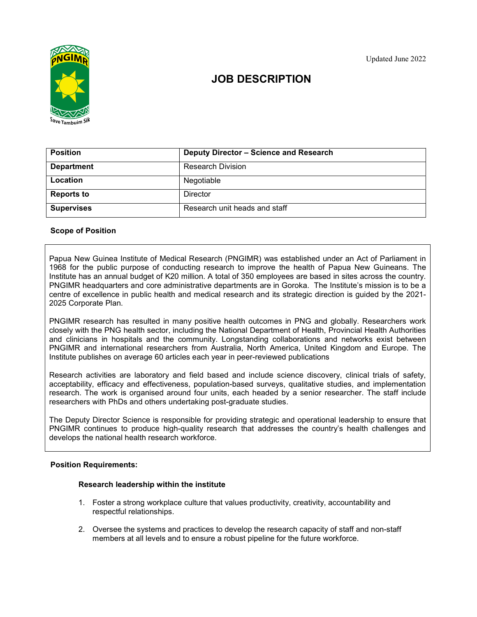

# JOB DESCRIPTION

| <b>Position</b>   | Deputy Director - Science and Research |
|-------------------|----------------------------------------|
| <b>Department</b> | <b>Research Division</b>               |
| <b>Location</b>   | Negotiable                             |
| <b>Reports to</b> | <b>Director</b>                        |
| <b>Supervises</b> | Research unit heads and staff          |

# Scope of Position

Papua New Guinea Institute of Medical Research (PNGIMR) was established under an Act of Parliament in 1968 for the public purpose of conducting research to improve the health of Papua New Guineans. The Institute has an annual budget of K20 million. A total of 350 employees are based in sites across the country. PNGIMR headquarters and core administrative departments are in Goroka. The Institute's mission is to be a centre of excellence in public health and medical research and its strategic direction is guided by the 2021- 2025 Corporate Plan.

PNGIMR research has resulted in many positive health outcomes in PNG and globally. Researchers work closely with the PNG health sector, including the National Department of Health, Provincial Health Authorities and clinicians in hospitals and the community. Longstanding collaborations and networks exist between PNGIMR and international researchers from Australia, North America, United Kingdom and Europe. The Institute publishes on average 60 articles each year in peer-reviewed publications

Research activities are laboratory and field based and include science discovery, clinical trials of safety, acceptability, efficacy and effectiveness, population-based surveys, qualitative studies, and implementation research. The work is organised around four units, each headed by a senior researcher. The staff include researchers with PhDs and others undertaking post-graduate studies.

The Deputy Director Science is responsible for providing strategic and operational leadership to ensure that PNGIMR continues to produce high-quality research that addresses the country's health challenges and develops the national health research workforce.

### Position Requirements:

#### Research leadership within the institute

- 1. Foster a strong workplace culture that values productivity, creativity, accountability and respectful relationships.
- 2. Oversee the systems and practices to develop the research capacity of staff and non-staff members at all levels and to ensure a robust pipeline for the future workforce.